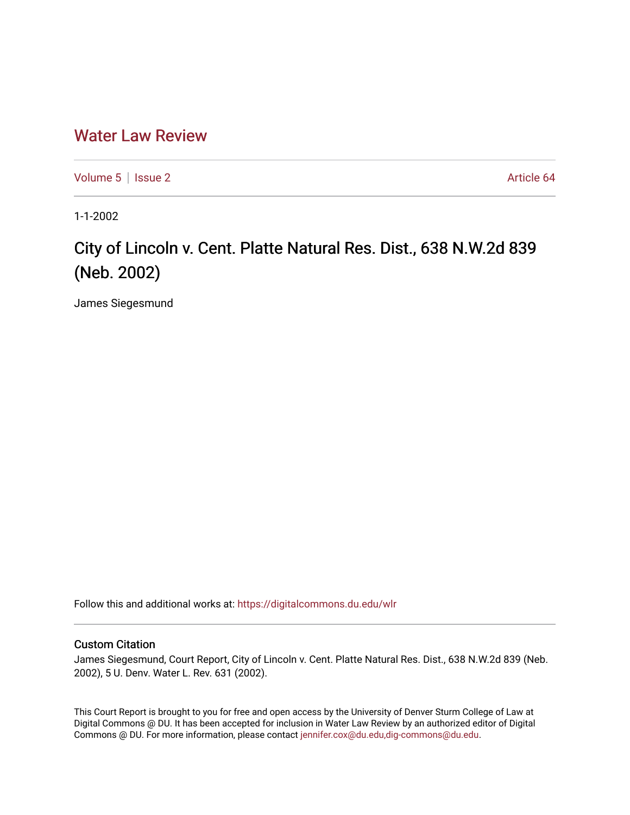## [Water Law Review](https://digitalcommons.du.edu/wlr)

[Volume 5](https://digitalcommons.du.edu/wlr/vol5) | [Issue 2](https://digitalcommons.du.edu/wlr/vol5/iss2) Article 64

1-1-2002

## City of Lincoln v. Cent. Platte Natural Res. Dist., 638 N.W.2d 839 (Neb. 2002)

James Siegesmund

Follow this and additional works at: [https://digitalcommons.du.edu/wlr](https://digitalcommons.du.edu/wlr?utm_source=digitalcommons.du.edu%2Fwlr%2Fvol5%2Fiss2%2F64&utm_medium=PDF&utm_campaign=PDFCoverPages) 

## Custom Citation

James Siegesmund, Court Report, City of Lincoln v. Cent. Platte Natural Res. Dist., 638 N.W.2d 839 (Neb. 2002), 5 U. Denv. Water L. Rev. 631 (2002).

This Court Report is brought to you for free and open access by the University of Denver Sturm College of Law at Digital Commons @ DU. It has been accepted for inclusion in Water Law Review by an authorized editor of Digital Commons @ DU. For more information, please contact [jennifer.cox@du.edu,dig-commons@du.edu.](mailto:jennifer.cox@du.edu,dig-commons@du.edu)